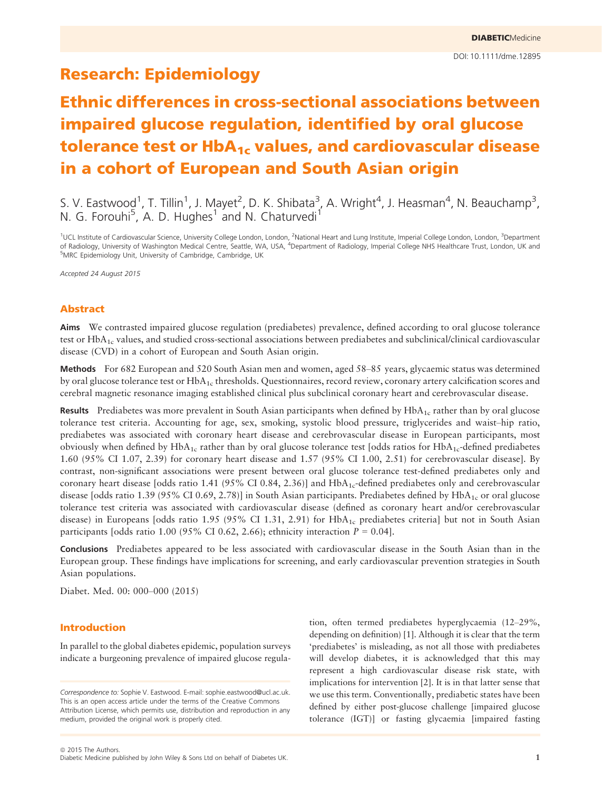# Research: Epidemiology

# Ethnic differences in cross-sectional associations between impaired glucose regulation, identified by oral glucose tolerance test or HbA<sub>1c</sub> values, and cardiovascular disease in a cohort of European and South Asian origin

S. V. Eastwood<sup>1</sup>, T. Tillin<sup>1</sup>, J. Mayet<sup>2</sup>, D. K. Shibata<sup>3</sup>, A. Wright<sup>4</sup>, J. Heasman<sup>4</sup>, N. Beauchamp<sup>3</sup>, N. G. Forouhi<sup>5</sup>, A. D. Hughes<sup>1</sup> and N. Chaturvedi<sup>1</sup>

<sup>1</sup>UCL Institute of Cardiovascular Science, University College London, London, <sup>2</sup>National Heart and Lung Institute, Imperial College London, London, <sup>3</sup>Department of Radiology, University of Washington Medical Centre, Seattle, WA, USA, <sup>4</sup>Department of Radiology, Imperial College NHS Healthcare Trust, London, UK and <sup>5</sup>MRC Epidemiology Unit, University of Cambridge, Cambridge, UK

Accepted 24 August 2015

# Abstract

Aims We contrasted impaired glucose regulation (prediabetes) prevalence, defined according to oral glucose tolerance test or HbA<sub>1c</sub> values, and studied cross-sectional associations between prediabetes and subclinical/clinical cardiovascular disease (CVD) in a cohort of European and South Asian origin.

Methods For 682 European and 520 South Asian men and women, aged 58–85 years, glycaemic status was determined by oral glucose tolerance test or  $HbA_{1c}$  thresholds. Questionnaires, record review, coronary artery calcification scores and cerebral magnetic resonance imaging established clinical plus subclinical coronary heart and cerebrovascular disease.

**Results** Prediabetes was more prevalent in South Asian participants when defined by  $HbA<sub>1c</sub>$  rather than by oral glucose tolerance test criteria. Accounting for age, sex, smoking, systolic blood pressure, triglycerides and waist–hip ratio, prediabetes was associated with coronary heart disease and cerebrovascular disease in European participants, most obviously when defined by HbA<sub>1c</sub> rather than by oral glucose tolerance test [odds ratios for HbA<sub>1c</sub>-defined prediabetes 1.60 (95% CI 1.07, 2.39) for coronary heart disease and 1.57 (95% CI 1.00, 2.51) for cerebrovascular disease]. By contrast, non-significant associations were present between oral glucose tolerance test-defined prediabetes only and coronary heart disease [odds ratio 1.41 (95% CI 0.84, 2.36)] and  $HbA_{1c}$ -defined prediabetes only and cerebrovascular disease [odds ratio 1.39 (95% CI 0.69, 2.78)] in South Asian participants. Prediabetes defined by  $HbA_{1c}$  or oral glucose tolerance test criteria was associated with cardiovascular disease (defined as coronary heart and/or cerebrovascular disease) in Europeans [odds ratio 1.95 (95% CI 1.31, 2.91) for  $HbA_{1c}$  prediabetes criteria] but not in South Asian participants [odds ratio 1.00 (95% CI 0.62, 2.66); ethnicity interaction  $P = 0.04$ ].

Conclusions Prediabetes appeared to be less associated with cardiovascular disease in the South Asian than in the European group. These findings have implications for screening, and early cardiovascular prevention strategies in South Asian populations.

Diabet. Med. 00: 000–000 (2015)

# Introduction

In parallel to the global diabetes epidemic, population surveys indicate a burgeoning prevalence of impaired glucose regula-

Correspondence to: Sophie V. Eastwood. E-mail: sophie.eastwood@ucl.ac.uk. This is an open access article under the terms of the [Creative Commons](http://creativecommons.org/licenses/by/4.0/) [Attribution](http://creativecommons.org/licenses/by/4.0/) License, which permits use, distribution and reproduction in any medium, provided the original work is properly cited.

tion, often termed prediabetes hyperglycaemia (12–29%, depending on definition) [1]. Although it is clear that the term 'prediabetes' is misleading, as not all those with prediabetes will develop diabetes, it is acknowledged that this may represent a high cardiovascular disease risk state, with implications for intervention [2]. It is in that latter sense that we use this term. Conventionally, prediabetic states have been defined by either post-glucose challenge [impaired glucose tolerance (IGT)] or fasting glycaemia [impaired fasting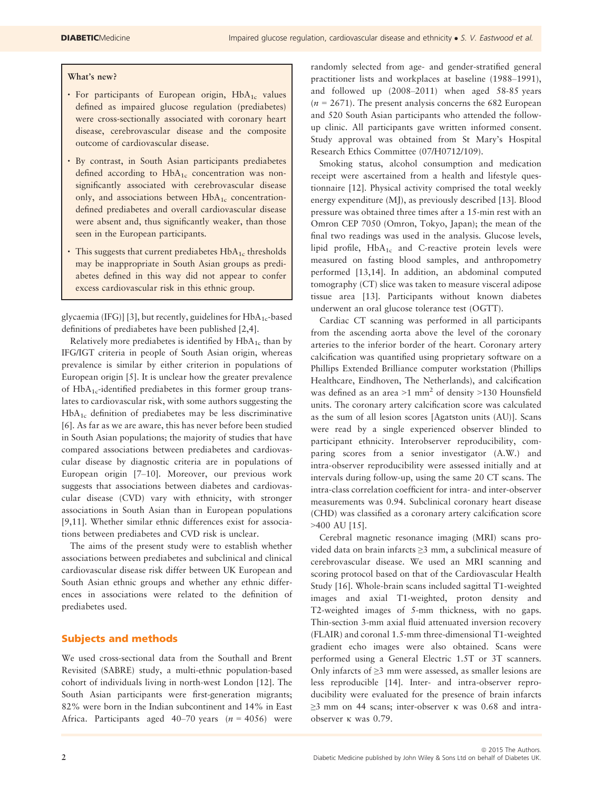#### What's new?

- For participants of European origin,  $HbA_{1c}$  values defined as impaired glucose regulation (prediabetes) were cross-sectionally associated with coronary heart disease, cerebrovascular disease and the composite outcome of cardiovascular disease.
- By contrast, in South Asian participants prediabetes defined according to  $HbA_{1c}$  concentration was nonsignificantly associated with cerebrovascular disease only, and associations between  $HbA_{1c}$  concentrationdefined prediabetes and overall cardiovascular disease were absent and, thus significantly weaker, than those seen in the European participants.
- $\cdot$  This suggests that current prediabetes  $HbA_{1c}$  thresholds may be inappropriate in South Asian groups as prediabetes defined in this way did not appear to confer excess cardiovascular risk in this ethnic group.

glycaemia (IFG)] [3], but recently, guidelines for  $HbA_{1c}$ -based definitions of prediabetes have been published [2,4].

Relatively more prediabetes is identified by  $HbA_{1c}$  than by IFG/IGT criteria in people of South Asian origin, whereas prevalence is similar by either criterion in populations of European origin [5]. It is unclear how the greater prevalence of  $HbA_{1c}$ -identified prediabetes in this former group translates to cardiovascular risk, with some authors suggesting the  $HbA_{1c}$  definition of prediabetes may be less discriminative [6]. As far as we are aware, this has never before been studied in South Asian populations; the majority of studies that have compared associations between prediabetes and cardiovascular disease by diagnostic criteria are in populations of European origin [7–10]. Moreover, our previous work suggests that associations between diabetes and cardiovascular disease (CVD) vary with ethnicity, with stronger associations in South Asian than in European populations [9,11]. Whether similar ethnic differences exist for associations between prediabetes and CVD risk is unclear.

The aims of the present study were to establish whether associations between prediabetes and subclinical and clinical cardiovascular disease risk differ between UK European and South Asian ethnic groups and whether any ethnic differences in associations were related to the definition of prediabetes used.

# Subjects and methods

We used cross-sectional data from the Southall and Brent Revisited (SABRE) study, a multi-ethnic population-based cohort of individuals living in north-west London [12]. The South Asian participants were first-generation migrants; 82% were born in the Indian subcontinent and 14% in East Africa. Participants aged 40–70 years  $(n = 4056)$  were randomly selected from age- and gender-stratified general practitioner lists and workplaces at baseline (1988–1991), and followed up (2008–2011) when aged 58-85 years  $(n = 2671)$ . The present analysis concerns the 682 European and 520 South Asian participants who attended the followup clinic. All participants gave written informed consent. Study approval was obtained from St Mary's Hospital Research Ethics Committee (07/H0712/109).

Smoking status, alcohol consumption and medication receipt were ascertained from a health and lifestyle questionnaire [12]. Physical activity comprised the total weekly energy expenditure (MJ), as previously described [13]. Blood pressure was obtained three times after a 15-min rest with an Omron CEP 7050 (Omron, Tokyo, Japan); the mean of the final two readings was used in the analysis. Glucose levels, lipid profile,  $HbA_{1c}$  and C-reactive protein levels were measured on fasting blood samples, and anthropometry performed [13,14]. In addition, an abdominal computed tomography (CT) slice was taken to measure visceral adipose tissue area [13]. Participants without known diabetes underwent an oral glucose tolerance test (OGTT).

Cardiac CT scanning was performed in all participants from the ascending aorta above the level of the coronary arteries to the inferior border of the heart. Coronary artery calcification was quantified using proprietary software on a Phillips Extended Brilliance computer workstation (Phillips Healthcare, Eindhoven, The Netherlands), and calcification was defined as an area >1 mm2 of density >130 Hounsfield units. The coronary artery calcification score was calculated as the sum of all lesion scores [Agatston units (AU)]. Scans were read by a single experienced observer blinded to participant ethnicity. Interobserver reproducibility, comparing scores from a senior investigator (A.W.) and intra-observer reproducibility were assessed initially and at intervals during follow-up, using the same 20 CT scans. The intra-class correlation coefficient for intra- and inter-observer measurements was 0.94. Subclinical coronary heart disease (CHD) was classified as a coronary artery calcification score >400 AU [15].

Cerebral magnetic resonance imaging (MRI) scans provided data on brain infarcts ≥3 mm, a subclinical measure of cerebrovascular disease. We used an MRI scanning and scoring protocol based on that of the Cardiovascular Health Study [16]. Whole-brain scans included sagittal T1-weighted images and axial T1-weighted, proton density and T2-weighted images of 5-mm thickness, with no gaps. Thin-section 3-mm axial fluid attenuated inversion recovery (FLAIR) and coronal 1.5-mm three-dimensional T1-weighted gradient echo images were also obtained. Scans were performed using a General Electric 1.5T or 3T scanners. Only infarcts of  $\geq$ 3 mm were assessed, as smaller lesions are less reproducible [14]. Inter- and intra-observer reproducibility were evaluated for the presence of brain infarcts  $\geq$ 3 mm on 44 scans; inter-observer  $\kappa$  was 0.68 and intraobserver  $\kappa$  was 0.79.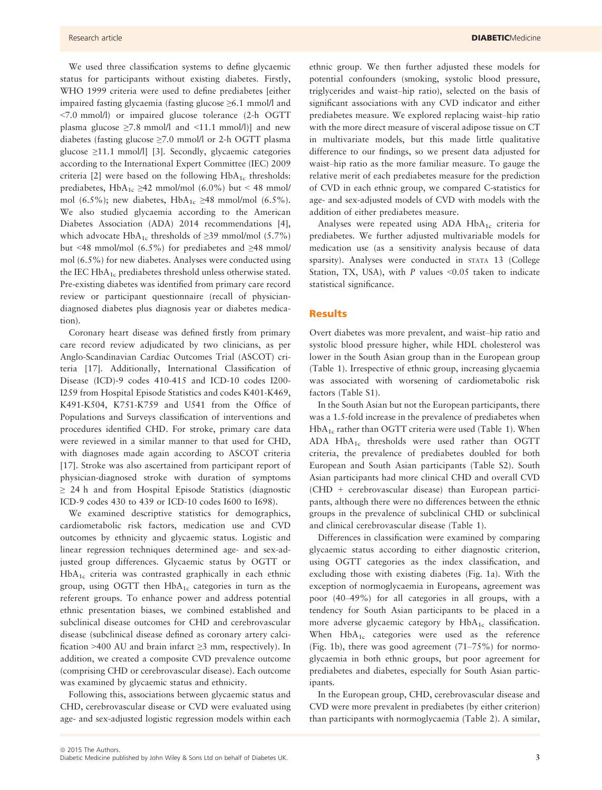We used three classification systems to define glycaemic status for participants without existing diabetes. Firstly, WHO 1999 criteria were used to define prediabetes [either impaired fasting glycaemia (fasting glucose ≥6.1 mmol/l and <7.0 mmol/l) or impaired glucose tolerance (2-h OGTT plasma glucose  $\geq 7.8$  mmol/l and <11.1 mmol/l)] and new diabetes (fasting glucose  $\geq 7.0$  mmol/l or 2-h OGTT plasma glucose ≥11.1 mmol/l] [3]. Secondly, glycaemic categories according to the International Expert Committee (IEC) 2009 criteria [2] were based on the following  $HbA_{1c}$  thresholds: prediabetes, HbA<sub>1c</sub> ≥42 mmol/mol (6.0%) but < 48 mmol/ mol (6.5%); new diabetes, HbA<sub>1c</sub> ≥48 mmol/mol (6.5%). We also studied glycaemia according to the American Diabetes Association (ADA) 2014 recommendations [4], which advocate HbA<sub>1c</sub> thresholds of  $\geq$ 39 mmol/mol (5.7%) but <48 mmol/mol (6.5%) for prediabetes and  $\geq$ 48 mmol/ mol (6.5%) for new diabetes. Analyses were conducted using the IEC  $HbA_{1c}$  prediabetes threshold unless otherwise stated. Pre-existing diabetes was identified from primary care record review or participant questionnaire (recall of physiciandiagnosed diabetes plus diagnosis year or diabetes medication).

Coronary heart disease was defined firstly from primary care record review adjudicated by two clinicians, as per Anglo-Scandinavian Cardiac Outcomes Trial (ASCOT) criteria [17]. Additionally, International Classification of Disease (ICD)-9 codes 410-415 and ICD-10 codes I200- I259 from Hospital Episode Statistics and codes K401-K469, K491-K504, K751-K759 and U541 from the Office of Populations and Surveys classification of interventions and procedures identified CHD. For stroke, primary care data were reviewed in a similar manner to that used for CHD, with diagnoses made again according to ASCOT criteria [17]. Stroke was also ascertained from participant report of physician-diagnosed stroke with duration of symptoms ≥ 24 h and from Hospital Episode Statistics (diagnostic ICD-9 codes 430 to 439 or ICD-10 codes I600 to I698).

We examined descriptive statistics for demographics, cardiometabolic risk factors, medication use and CVD outcomes by ethnicity and glycaemic status. Logistic and linear regression techniques determined age- and sex-adjusted group differences. Glycaemic status by OGTT or  $HbA_{1c}$  criteria was contrasted graphically in each ethnic group, using OGTT then  $HbA_{1c}$  categories in turn as the referent groups. To enhance power and address potential ethnic presentation biases, we combined established and subclinical disease outcomes for CHD and cerebrovascular disease (subclinical disease defined as coronary artery calcification >400 AU and brain infarct  $\geq$ 3 mm, respectively). In addition, we created a composite CVD prevalence outcome (comprising CHD or cerebrovascular disease). Each outcome was examined by glycaemic status and ethnicity.

Following this, associations between glycaemic status and CHD, cerebrovascular disease or CVD were evaluated using age- and sex-adjusted logistic regression models within each ethnic group. We then further adjusted these models for potential confounders (smoking, systolic blood pressure, triglycerides and waist–hip ratio), selected on the basis of significant associations with any CVD indicator and either prediabetes measure. We explored replacing waist–hip ratio with the more direct measure of visceral adipose tissue on CT in multivariate models, but this made little qualitative difference to our findings, so we present data adjusted for waist–hip ratio as the more familiar measure. To gauge the relative merit of each prediabetes measure for the prediction of CVD in each ethnic group, we compared C-statistics for age- and sex-adjusted models of CVD with models with the addition of either prediabetes measure.

Analyses were repeated using  $ADA HbA_{1c}$  criteria for prediabetes. We further adjusted multivariable models for medication use (as a sensitivity analysis because of data sparsity). Analyses were conducted in STATA 13 (College Station, TX, USA), with  $P$  values <0.05 taken to indicate statistical significance.

### Results

Overt diabetes was more prevalent, and waist–hip ratio and systolic blood pressure higher, while HDL cholesterol was lower in the South Asian group than in the European group (Table 1). Irrespective of ethnic group, increasing glycaemia was associated with worsening of cardiometabolic risk factors (Table S1).

In the South Asian but not the European participants, there was a 1.5-fold increase in the prevalence of prediabetes when  $HbA_{1c}$  rather than OGTT criteria were used (Table 1). When ADA HbA1c thresholds were used rather than OGTT criteria, the prevalence of prediabetes doubled for both European and South Asian participants (Table S2). South Asian participants had more clinical CHD and overall CVD (CHD + cerebrovascular disease) than European participants, although there were no differences between the ethnic groups in the prevalence of subclinical CHD or subclinical and clinical cerebrovascular disease (Table 1).

Differences in classification were examined by comparing glycaemic status according to either diagnostic criterion, using OGTT categories as the index classification, and excluding those with existing diabetes (Fig. 1a). With the exception of normoglycaemia in Europeans, agreement was poor (40–49%) for all categories in all groups, with a tendency for South Asian participants to be placed in a more adverse glycaemic category by  $HbA_{1c}$  classification. When  $HbA_{1c}$  categories were used as the reference (Fig. 1b), there was good agreement (71–75%) for normoglycaemia in both ethnic groups, but poor agreement for prediabetes and diabetes, especially for South Asian participants.

In the European group, CHD, cerebrovascular disease and CVD were more prevalent in prediabetes (by either criterion) than participants with normoglycaemia (Table 2). A similar,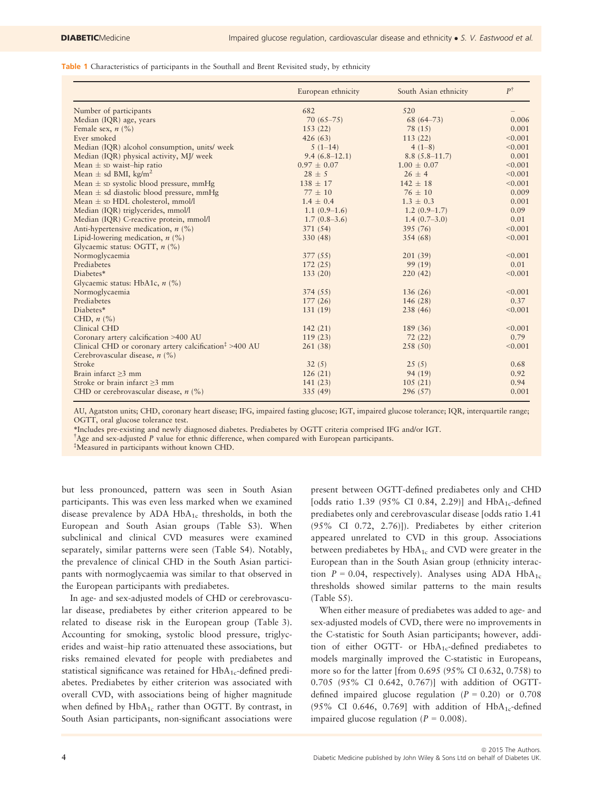Table 1 Characteristics of participants in the Southall and Brent Revisited study, by ethnicity

|                                                                                        | European ethnicity | South Asian ethnicity | $P^{\dagger}$ |
|----------------------------------------------------------------------------------------|--------------------|-----------------------|---------------|
| Number of participants                                                                 | 682                | 520                   |               |
| Median (IQR) age, years                                                                | $70(65 - 75)$      | $68(64 - 73)$         | 0.006         |
| Female sex, $n$ (%)                                                                    | 153(22)            | 78 (15)               | 0.001         |
| Ever smoked                                                                            | 426(63)            | 113(22)               | < 0.001       |
| Median (IQR) alcohol consumption, units/ week                                          | $5(1-14)$          | $4(1-8)$              | < 0.001       |
| Median (IQR) physical activity, MJ/ week                                               | $9.4(6.8-12.1)$    | $8.8(5.8-11.7)$       | 0.001         |
| Mean $\pm$ sp waist-hip ratio                                                          | $0.97 \pm 0.07$    | $1.00 \pm 0.07$       | < 0.001       |
| Mean $\pm$ sd BMI, kg/m <sup>2</sup>                                                   | $28 \pm 5$         | $26 \pm 4$            | < 0.001       |
| Mean $\pm$ sp systolic blood pressure, mmHg                                            | $138 \pm 17$       | $142 \pm 18$          | < 0.001       |
| Mean $\pm$ sd diastolic blood pressure, mmHg                                           | $77 \pm 10$        | $76 \pm 10$           | 0.009         |
| Mean $\pm$ sp HDL cholesterol, mmol/l                                                  | $1.4 \pm 0.4$      | $1.3 \pm 0.3$         | 0.001         |
| Median (IQR) triglycerides, mmol/l                                                     | $1.1(0.9-1.6)$     | $1.2(0.9-1.7)$        | 0.09          |
| Median (IQR) C-reactive protein, mmol/l                                                | $1.7(0.8-3.6)$     | $1.4(0.7-3.0)$        | 0.01          |
| Anti-hypertensive medication, $n$ (%)                                                  | 371 (54)           | 395 (76)              | < 0.001       |
| Lipid-lowering medication, $n$ (%)                                                     | 330 (48)           | 354 (68)              | < 0.001       |
| Glycaemic status: OGTT, $n$ (%)                                                        |                    |                       |               |
| Normoglycaemia                                                                         | 377(55)            | 201(39)               | < 0.001       |
| Prediabetes                                                                            | 172(25)            | 99(19)                | 0.01          |
| Diabetes*                                                                              | 133(20)            | 220(42)               | < 0.001       |
| Glycaemic status: HbA1c, $n$ (%)                                                       |                    |                       |               |
| Normoglycaemia                                                                         | 374(55)            | 136(26)               | < 0.001       |
| Prediabetes                                                                            | 177(26)            | 146(28)               | 0.37          |
| Diabetes*                                                                              | 131(19)            | 238 (46)              | < 0.001       |
| CHD, $n$ $\left(\frac{\%}{\%}\right)$                                                  |                    |                       |               |
| Clinical CHD                                                                           | 142(21)            | 189 (36)              | < 0.001       |
| Coronary artery calcification >400 AU                                                  | 119(23)            | 72(22)                | 0.79          |
| Clinical CHD or coronary artery calcification <sup><math>\ddagger</math></sup> >400 AU | 261(38)            | 258 (50)              | < 0.001       |
| Cerebrovascular disease, $n$ (%)                                                       |                    |                       |               |
| Stroke                                                                                 | 32(5)              | 25(5)                 | 0.68          |
| Brain infarct $>3$ mm                                                                  | 126(21)            | 94(19)                | 0.92          |
| Stroke or brain infarct $\geq 3$ mm                                                    | 141(23)            | 105(21)               | 0.94          |
| CHD or cerebrovascular disease, $n$ (%)                                                | 335(49)            | 296 (57)              | 0.001         |

AU, Agatston units; CHD, coronary heart disease; IFG, impaired fasting glucose; IGT, impaired glucose tolerance; IQR, interquartile range; OGTT, oral glucose tolerance test.

\*Includes pre-existing and newly diagnosed diabetes. Prediabetes by OGTT criteria comprised IFG and/or IGT.

† Age and sex-adjusted P value for ethnic difference, when compared with European participants.

‡ Measured in participants without known CHD.

but less pronounced, pattern was seen in South Asian participants. This was even less marked when we examined disease prevalence by ADA  $HbA_{1c}$  thresholds, in both the European and South Asian groups (Table S3). When subclinical and clinical CVD measures were examined separately, similar patterns were seen (Table S4). Notably, the prevalence of clinical CHD in the South Asian participants with normoglycaemia was similar to that observed in the European participants with prediabetes.

In age- and sex-adjusted models of CHD or cerebrovascular disease, prediabetes by either criterion appeared to be related to disease risk in the European group (Table 3). Accounting for smoking, systolic blood pressure, triglycerides and waist–hip ratio attenuated these associations, but risks remained elevated for people with prediabetes and statistical significance was retained for  $HbA_{1c}$ -defined prediabetes. Prediabetes by either criterion was associated with overall CVD, with associations being of higher magnitude when defined by  $HbA_{1c}$  rather than OGTT. By contrast, in South Asian participants, non-significant associations were present between OGTT-defined prediabetes only and CHD [odds ratio 1.39 (95% CI 0.84, 2.29)] and  $HbA_{1c}$ -defined prediabetes only and cerebrovascular disease [odds ratio 1.41 (95% CI 0.72, 2.76)]). Prediabetes by either criterion appeared unrelated to CVD in this group. Associations between prediabetes by  $HbA_{1c}$  and CVD were greater in the European than in the South Asian group (ethnicity interaction  $P = 0.04$ , respectively). Analyses using ADA HbA<sub>1c</sub> thresholds showed similar patterns to the main results (Table S5).

When either measure of prediabetes was added to age- and sex-adjusted models of CVD, there were no improvements in the C-statistic for South Asian participants; however, addition of either OGTT- or  $HbA_{1c}$ -defined prediabetes to models marginally improved the C-statistic in Europeans, more so for the latter [from 0.695 (95% CI 0.632, 0.758) to 0.705 (95% CI 0.642, 0.767)] with addition of OGTTdefined impaired glucose regulation  $(P = 0.20)$  or 0.708 (95% CI 0.646, 0.769] with addition of  $HbA_{1c}$ -defined impaired glucose regulation ( $P = 0.008$ ).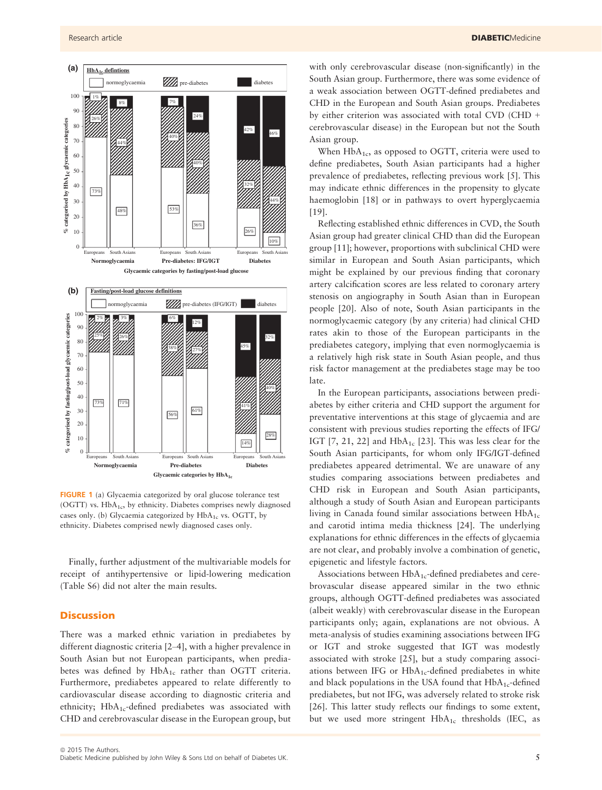

FIGURE 1 (a) Glycaemia categorized by oral glucose tolerance test (OGTT) vs. HbA<sub>1c</sub>, by ethnicity. Diabetes comprises newly diagnosed cases only. (b) Glycaemia categorized by  $HbA_{1c}$  vs. OGTT, by ethnicity. Diabetes comprised newly diagnosed cases only.

Finally, further adjustment of the multivariable models for receipt of antihypertensive or lipid-lowering medication (Table S6) did not alter the main results.

# **Discussion**

There was a marked ethnic variation in prediabetes by different diagnostic criteria [2–4], with a higher prevalence in South Asian but not European participants, when prediabetes was defined by  $HbA_{1c}$  rather than OGTT criteria. Furthermore, prediabetes appeared to relate differently to cardiovascular disease according to diagnostic criteria and ethnicity;  $HbA_{1c}$ -defined prediabetes was associated with CHD and cerebrovascular disease in the European group, but with only cerebrovascular disease (non-significantly) in the South Asian group. Furthermore, there was some evidence of a weak association between OGTT-defined prediabetes and CHD in the European and South Asian groups. Prediabetes by either criterion was associated with total CVD (CHD + cerebrovascular disease) in the European but not the South Asian group.

When  $HbA_{1c}$ , as opposed to OGTT, criteria were used to define prediabetes, South Asian participants had a higher prevalence of prediabetes, reflecting previous work [5]. This may indicate ethnic differences in the propensity to glycate haemoglobin [18] or in pathways to overt hyperglycaemia [19].

Reflecting established ethnic differences in CVD, the South Asian group had greater clinical CHD than did the European group [11]; however, proportions with subclinical CHD were similar in European and South Asian participants, which might be explained by our previous finding that coronary artery calcification scores are less related to coronary artery stenosis on angiography in South Asian than in European people [20]. Also of note, South Asian participants in the normoglycaemic category (by any criteria) had clinical CHD rates akin to those of the European participants in the prediabetes category, implying that even normoglycaemia is a relatively high risk state in South Asian people, and thus risk factor management at the prediabetes stage may be too late.

In the European participants, associations between prediabetes by either criteria and CHD support the argument for preventative interventions at this stage of glycaemia and are consistent with previous studies reporting the effects of IFG/ IGT  $[7, 21, 22]$  and  $HbA_{1c}$   $[23]$ . This was less clear for the South Asian participants, for whom only IFG/IGT-defined prediabetes appeared detrimental. We are unaware of any studies comparing associations between prediabetes and CHD risk in European and South Asian participants, although a study of South Asian and European participants living in Canada found similar associations between  $HbA_{1c}$ and carotid intima media thickness [24]. The underlying explanations for ethnic differences in the effects of glycaemia are not clear, and probably involve a combination of genetic, epigenetic and lifestyle factors.

Associations between  $HbA_{1c}$ -defined prediabetes and cerebrovascular disease appeared similar in the two ethnic groups, although OGTT-defined prediabetes was associated (albeit weakly) with cerebrovascular disease in the European participants only; again, explanations are not obvious. A meta-analysis of studies examining associations between IFG or IGT and stroke suggested that IGT was modestly associated with stroke [25], but a study comparing associations between IFG or  $HbA_{1c}$ -defined prediabetes in white and black populations in the USA found that  $HbA_{1c}$ -defined prediabetes, but not IFG, was adversely related to stroke risk [26]. This latter study reflects our findings to some extent, but we used more stringent  $HbA_{1c}$  thresholds (IEC, as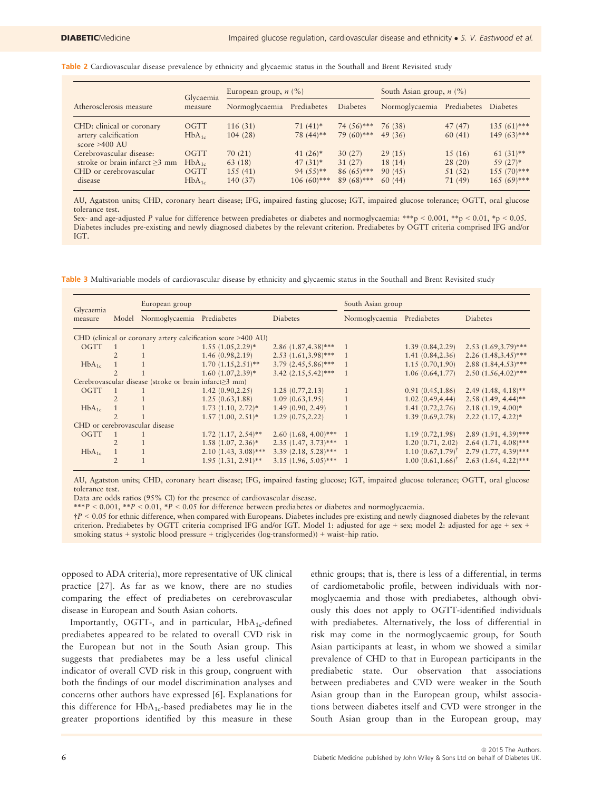|  |  | Table 2 Cardiovascular disease prevalence by ethnicity and glycaemic status in the Southall and Brent Revisited study |  |  |  |  |  |  |  |
|--|--|-----------------------------------------------------------------------------------------------------------------------|--|--|--|--|--|--|--|
|--|--|-----------------------------------------------------------------------------------------------------------------------|--|--|--|--|--|--|--|

|                                         | Glycaemia<br>measure | European group, $n$ (%)    |               |               | South Asian group, $n$ (%) |             |                 |
|-----------------------------------------|----------------------|----------------------------|---------------|---------------|----------------------------|-------------|-----------------|
| Atherosclerosis measure                 |                      | Normoglycaemia Prediabetes |               | Diabetes      | Normoglycaemia             | Prediabetes | <b>Diabetes</b> |
| CHD: clinical or coronary               | OGTT                 | 116(31)                    | $71(41)$ *    | 74 $(56)$ *** | 76 (38)                    | 47(47)      | $135(61)$ ***   |
| artery calcification<br>score $>400$ AU | $HbA_{1c}$           | 104(28)                    | 78 (44)**     | $79(60)$ ***  | 49 (36)                    | 60(41)      | $149(63)$ ***   |
| Cerebrovascular disease:                | OGTT                 | 70(21)                     | $41(26)$ *    | 30(27)        | 29(15)                     | 15(16)      | $61(31)$ **     |
| stroke or brain infarct $\geq$ 3 mm     | $HbA_{1c}$           | 63 (18)                    | $47(31)*$     | 31(27)        | 18 (14)                    | 28(20)      | $59(27)*$       |
| CHD or cerebrovascular                  | OGTT                 | 155(41)                    | $94(55)**$    | $86(65)$ ***  | 90 (45)                    | 51(52)      | $155(70)$ ***   |
| disease                                 | $HbA_{1c}$           | 140 (37)                   | $106(60)$ *** | $89(68)$ ***  | 60(44)                     | 71(49)      | $165(69)$ ***   |

AU, Agatston units; CHD, coronary heart disease; IFG, impaired fasting glucose; IGT, impaired glucose tolerance; OGTT, oral glucose tolerance test.

Sex- and age-adjusted P value for difference between prediabetes or diabetes and normoglycaemia: \*\*\*p < 0.001, \*\*p < 0.01, \*p < 0.05. Diabetes includes pre-existing and newly diagnosed diabetes by the relevant criterion. Prediabetes by OGTT criteria comprised IFG and/or IGT.

Table 3 Multivariable models of cardiovascular disease by ethnicity and glycaemic status in the Southall and Brent Revisited study

| Glycaemia                                                     |                | European group                                         |                          |                          | South Asian group          |                              |                        |  |  |  |
|---------------------------------------------------------------|----------------|--------------------------------------------------------|--------------------------|--------------------------|----------------------------|------------------------------|------------------------|--|--|--|
| Model<br>measure                                              |                | Normoglycaemia                                         | Prediabetes              | Diabetes                 | Normoglycaemia Prediabetes |                              | Diabetes               |  |  |  |
| CHD (clinical or coronary artery calcification score >400 AU) |                |                                                        |                          |                          |                            |                              |                        |  |  |  |
| OGTT                                                          | $\overline{1}$ |                                                        | $1.55(1.05, 2.29)^*$     | $2.86(1.87, 4.38)$ ***   | $\overline{1}$             | 1.39(0.84, 2.29)             | $2.53(1.69, 3.79)$ *** |  |  |  |
|                                                               | $\overline{2}$ |                                                        | 1.46(0.98, 2.19)         | $2.53(1.61, 3.98)$ ***   | $\overline{1}$             | 1.41(0.84, 2.36)             | $2.26(1.48, 3.45)$ *** |  |  |  |
| $HbA_{1c}$                                                    |                |                                                        | $1.70(1.15, 2.51)$ **    | $3.79(2.45,5.86)$ ***    | -1                         | 1.15(0.70, 1.90)             | $2.88(1.84, 4.53)$ *** |  |  |  |
|                                                               |                |                                                        | $1.60(1.07, 2.39)*$      | $3.42(2.15,5.42)$ ***    | 1                          | 1.06(0.64, 1.77)             | $2.50(1.56, 4.02)$ *** |  |  |  |
|                                                               |                | Cerebrovascular disease (stroke or brain infarct≥3 mm) |                          |                          |                            |                              |                        |  |  |  |
| OGTT                                                          | $\mathbf{1}$   |                                                        | 1.42(0.90, 2.25)         | 1.28(0.77, 2.13)         |                            | 0.91(0.45, 1.86)             | $2.49(1.48, 4.18)$ **  |  |  |  |
|                                                               | $\overline{2}$ |                                                        | 1.25(0.63, 1.88)         | 1.09(0.63, 1.95)         | $\mathbf{1}$               | 1.02(0.49, 4.44)             | $2.58(1.49, 4.44)$ **  |  |  |  |
| $HbA_{1c}$                                                    |                |                                                        | $1.73$ $(1.10, 2.72)^*$  | 1.49(0.90, 2.49)         | 1                          | 1.41(0.72, 2.76)             | $2.18(1.19, 4.00)^*$   |  |  |  |
|                                                               | $\mathfrak{D}$ |                                                        | $1.57(1.00, 2.51)^*$     | 1.29(0.75, 2.22)         |                            | 1.39(0.69, 2.78)             | $2.22(1.17, 4.22)^*$   |  |  |  |
| CHD or cerebrovascular disease                                |                |                                                        |                          |                          |                            |                              |                        |  |  |  |
| OGTT                                                          |                |                                                        | $1.72$ $(1.17, 2.54)$ ** | $2.60(1.68, 4.00)$ *** 1 |                            | 1.19(0.72, 1.98)             | $2.89(1.91, 4.39)$ *** |  |  |  |
|                                                               | $\overline{2}$ |                                                        | $1.58(1.07, 2.36)^*$     | $2.35(1.47, 3.73)$ *** 1 |                            | 1.20(0.71, 2.02)             | $2.64$ (1.71, 4.08)*** |  |  |  |
| $HbA_{1c}$                                                    |                |                                                        | $2.10(1.43, 3.08)$ ***   | $3.39(2.18, 5.28)$ *** 1 |                            | $1.10~(0.67,1.79)^{\dagger}$ | $2.79$ (1.77, 4.39)*** |  |  |  |
|                                                               | $\overline{2}$ |                                                        | $1.95(1.31, 2.91)$ **    | $3.15(1.96, 5.05)$ *** 1 |                            | $1.00(0.61, 1.66)^{\dagger}$ | $2.63$ (1.64, 4.22)*** |  |  |  |

AU, Agatston units; CHD, coronary heart disease; IFG, impaired fasting glucose; IGT, impaired glucose tolerance; OGTT, oral glucose tolerance test.

Data are odds ratios (95% CI) for the presence of cardiovascular disease.

\*\*\*P < 0.001, \*\*P < 0.01, \*P < 0.05 for difference between prediabetes or diabetes and normoglycaemia.

†P < 0.05 for ethnic difference, when compared with Europeans. Diabetes includes pre-existing and newly diagnosed diabetes by the relevant criterion. Prediabetes by OGTT criteria comprised IFG and/or IGT. Model 1: adjusted for age + sex; model 2: adjusted for age + sex + smoking status + systolic blood pressure + triglycerides (log-transformed)) + waist–hip ratio.

opposed to ADA criteria), more representative of UK clinical practice [27]. As far as we know, there are no studies comparing the effect of prediabetes on cerebrovascular disease in European and South Asian cohorts.

Importantly, OGTT-, and in particular,  $HbA_{1c}$ -defined prediabetes appeared to be related to overall CVD risk in the European but not in the South Asian group. This suggests that prediabetes may be a less useful clinical indicator of overall CVD risk in this group, congruent with both the findings of our model discrimination analyses and concerns other authors have expressed [6]. Explanations for this difference for  $HbA_{1c}$ -based prediabetes may lie in the greater proportions identified by this measure in these

ethnic groups; that is, there is less of a differential, in terms of cardiometabolic profile, between individuals with normoglycaemia and those with prediabetes, although obviously this does not apply to OGTT-identified individuals with prediabetes. Alternatively, the loss of differential in risk may come in the normoglycaemic group, for South Asian participants at least, in whom we showed a similar prevalence of CHD to that in European participants in the prediabetic state. Our observation that associations between prediabetes and CVD were weaker in the South Asian group than in the European group, whilst associations between diabetes itself and CVD were stronger in the South Asian group than in the European group, may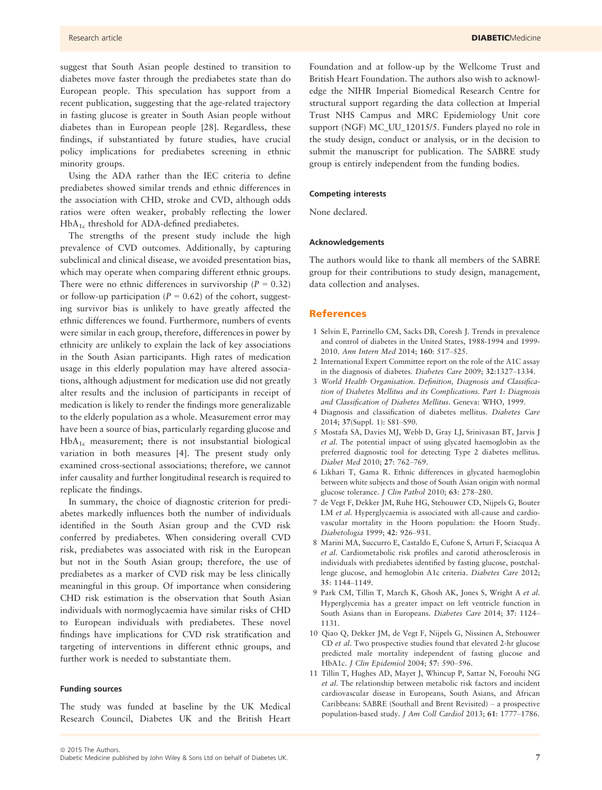suggest that South Asian people destined to transition to diabetes move faster through the prediabetes state than do European people. This speculation has support from a recent publication, suggesting that the age-related trajectory in fasting glucose is greater in South Asian people without diabetes than in European people [28]. Regardless, these findings, if substantiated by future studies, have crucial policy implications for prediabetes screening in ethnic minority groups.

Using the ADA rather than the IEC criteria to define prediabetes showed similar trends and ethnic differences in the association with CHD, stroke and CVD, although odds ratios were often weaker, probably reflecting the lower HbA<sub>1c</sub> threshold for ADA-defined prediabetes.

The strengths of the present study include the high prevalence of CVD outcomes. Additionally, by capturing subclinical and clinical disease, we avoided presentation bias, which may operate when comparing different ethnic groups. There were no ethnic differences in survivorship ( $P = 0.32$ ) or follow-up participation ( $P = 0.62$ ) of the cohort, suggesting survivor bias is unlikely to have greatly affected the ethnic differences we found. Furthermore, numbers of events were similar in each group, therefore, differences in power by ethnicity are unlikely to explain the lack of key associations in the South Asian participants. High rates of medication usage in this elderly population may have altered associations, although adjustment for medication use did not greatly alter results and the inclusion of participants in receipt of medication is likely to render the findings more generalizable to the elderly population as a whole. Measurement error may have been a source of bias, particularly regarding glucose and HbA1c measurement; there is not insubstantial biological variation in both measures [4]. The present study only examined cross-sectional associations; therefore, we cannot infer causality and further longitudinal research is required to replicate the findings.

In summary, the choice of diagnostic criterion for prediabetes markedly influences both the number of individuals identified in the South Asian group and the CVD risk conferred by prediabetes. When considering overall CVD risk, prediabetes was associated with risk in the European but not in the South Asian group; therefore, the use of prediabetes as a marker of CVD risk may be less clinically meaningful in this group. Of importance when considering CHD risk estimation is the observation that South Asian individuals with normoglycaemia have similar risks of CHD to European individuals with prediabetes. These novel findings have implications for CVD risk stratification and targeting of interventions in different ethnic groups, and further work is needed to substantiate them.

#### Funding sources

The study was funded at baseline by the UK Medical Research Council, Diabetes UK and the British Heart Foundation and at follow-up by the Wellcome Trust and British Heart Foundation. The authors also wish to acknowledge the NIHR Imperial Biomedical Research Centre for structural support regarding the data collection at Imperial Trust NHS Campus and MRC Epidemiology Unit core support (NGF) MC\_UU\_12015/5. Funders played no role in the study design, conduct or analysis, or in the decision to submit the manuscript for publication. The SABRE study group is entirely independent from the funding bodies.

#### Competing interests

None declared.

#### Acknowledgements

The authors would like to thank all members of the SABRE group for their contributions to study design, management, data collection and analyses.

#### References

- 1 Selvin E, Parrinello CM, Sacks DB, Coresh J. Trends in prevalence and control of diabetes in the United States, 1988-1994 and 1999- 2010. Ann Intern Med 2014; 160: 517–525.
- 2 International Expert Committee report on the role of the A1C assay in the diagnosis of diabetes. Diabetes Care 2009; 32:1327–1334.
- 3 World Health Organisation. Definition, Diagnosis and Classification of Diabetes Mellitus and its Complications. Part 1: Diagnosis and Classification of Diabetes Mellitus. Geneva: WHO, 1999.
- 4 Diagnosis and classification of diabetes mellitus. Diabetes Care 2014; 37(Suppl. 1): S81–S90.
- 5 Mostafa SA, Davies MJ, Webb D, Gray LJ, Srinivasan BT, Jarvis J et al. The potential impact of using glycated haemoglobin as the preferred diagnostic tool for detecting Type 2 diabetes mellitus. Diabet Med 2010; 27: 762–769.
- 6 Likhari T, Gama R. Ethnic differences in glycated haemoglobin between white subjects and those of South Asian origin with normal glucose tolerance. J Clin Pathol 2010; 63: 278–280.
- 7 de Vegt F, Dekker JM, Ruhe HG, Stehouwer CD, Nijpels G, Bouter LM et al. Hyperglycaemia is associated with all-cause and cardiovascular mortality in the Hoorn population: the Hoorn Study. Diabetologia 1999; 42: 926–931.
- 8 Marini MA, Succurro E, Castaldo E, Cufone S, Arturi F, Sciacqua A et al. Cardiometabolic risk profiles and carotid atherosclerosis in individuals with prediabetes identified by fasting glucose, postchallenge glucose, and hemoglobin A1c criteria. Diabetes Care 2012; 35: 1144–1149.
- 9 Park CM, Tillin T, March K, Ghosh AK, Jones S, Wright A et al. Hyperglycemia has a greater impact on left ventricle function in South Asians than in Europeans. Diabetes Care 2014; 37: 1124– 1131.
- 10 Qiao Q, Dekker JM, de Vegt F, Nijpels G, Nissinen A, Stehouwer CD et al. Two prospective studies found that elevated 2-hr glucose predicted male mortality independent of fasting glucose and HbA1c. J Clin Epidemiol 2004; 57: 590–596.
- 11 Tillin T, Hughes AD, Mayet J, Whincup P, Sattar N, Forouhi NG et al. The relationship between metabolic risk factors and incident cardiovascular disease in Europeans, South Asians, and African Caribbeans: SABRE (Southall and Brent Revisited) – a prospective population-based study. J Am Coll Cardiol 2013; 61: 1777–1786.